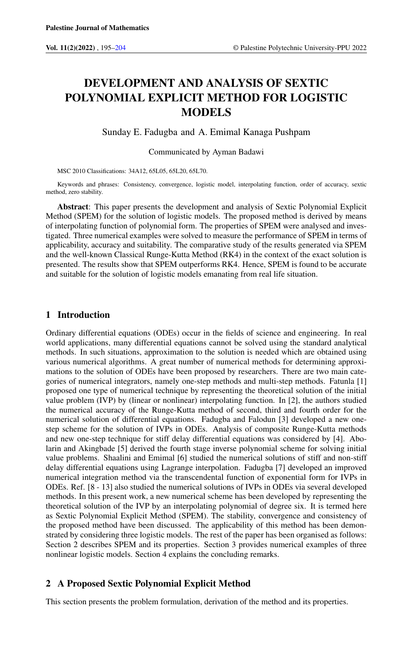# DEVELOPMENT AND ANALYSIS OF SEXTIC POLYNOMIAL EXPLICIT METHOD FOR LOGISTIC MODELS

### Sunday E. Fadugba and A. Emimal Kanaga Pushpam

#### Communicated by Ayman Badawi

MSC 2010 Classifications: 34A12, 65L05, 65L20, 65L70.

Keywords and phrases: Consistency, convergence, logistic model, interpolating function, order of accuracy, sextic method, zero stability.

Abstract: This paper presents the development and analysis of Sextic Polynomial Explicit Method (SPEM) for the solution of logistic models. The proposed method is derived by means of interpolating function of polynomial form. The properties of SPEM were analysed and investigated. Three numerical examples were solved to measure the performance of SPEM in terms of applicability, accuracy and suitability. The comparative study of the results generated via SPEM and the well-known Classical Runge-Kutta Method (RK4) in the context of the exact solution is presented. The results show that SPEM outperforms RK4. Hence, SPEM is found to be accurate and suitable for the solution of logistic models emanating from real life situation.

## 1 Introduction

Ordinary differential equations (ODEs) occur in the fields of science and engineering. In real world applications, many differential equations cannot be solved using the standard analytical methods. In such situations, approximation to the solution is needed which are obtained using various numerical algorithms. A great number of numerical methods for determining approximations to the solution of ODEs have been proposed by researchers. There are two main categories of numerical integrators, namely one-step methods and multi-step methods. Fatunla [1] proposed one type of numerical technique by representing the theoretical solution of the initial value problem (IVP) by (linear or nonlinear) interpolating function. In [2], the authors studied the numerical accuracy of the Runge-Kutta method of second, third and fourth order for the numerical solution of differential equations. Fadugba and Falodun [3] developed a new onestep scheme for the solution of IVPs in ODEs. Analysis of composite Runge-Kutta methods and new one-step technique for stiff delay differential equations was considered by [4]. Abolarin and Akingbade [5] derived the fourth stage inverse polynomial scheme for solving initial value problems. Shaalini and Emimal [6] studied the numerical solutions of stiff and non-stiff delay differential equations using Lagrange interpolation. Fadugba [7] developed an improved numerical integration method via the transcendental function of exponential form for IVPs in ODEs. Ref. [8 - 13] also studied the numerical solutions of IVPs in ODEs via several developed methods. In this present work, a new numerical scheme has been developed by representing the theoretical solution of the IVP by an interpolating polynomial of degree six. It is termed here as Sextic Polynomial Explicit Method (SPEM). The stability, convergence and consistency of the proposed method have been discussed. The applicability of this method has been demonstrated by considering three logistic models. The rest of the paper has been organised as follows: Section 2 describes SPEM and its properties. Section 3 provides numerical examples of three nonlinear logistic models. Section 4 explains the concluding remarks.

## 2 A Proposed Sextic Polynomial Explicit Method

This section presents the problem formulation, derivation of the method and its properties.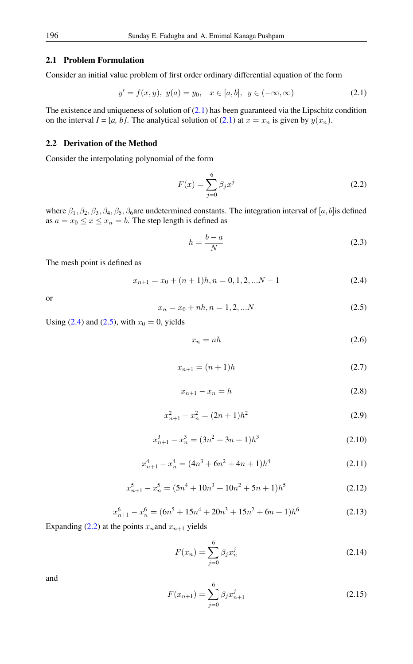#### 2.1 Problem Formulation

Consider an initial value problem of first order ordinary differential equation of the form

$$
y' = f(x, y), \ y(a) = y_0, \quad x \in [a, b], \ y \in (-\infty, \infty)
$$
 (2.1)

The existence and uniqueness of solution of  $(2.1)$  has been guaranteed via the Lipschitz condition on the interval  $I = [a, b]$ . The analytical solution of [\(2.1\)](#page-1-0) at  $x = x_n$  is given by  $y(x_n)$ .

#### 2.2 Derivation of the Method

Consider the interpolating polynomial of the form

<span id="page-1-3"></span><span id="page-1-0"></span>
$$
F(x) = \sum_{j=0}^{6} \beta_j x^j
$$
 (2.2)

where  $\beta_1, \beta_2, \beta_3, \beta_4, \beta_5, \beta_6$  are undetermined constants. The integration interval of [a, b] is defined as  $a = x_0 \le x \le x_n = b$ . The step length is defined as

$$
h = \frac{b - a}{N} \tag{2.3}
$$

The mesh point is defined as

<span id="page-1-1"></span>
$$
x_{n+1} = x_0 + (n+1)h, n = 0, 1, 2, \dots N - 1
$$
\n(2.4)

<span id="page-1-2"></span>or

$$
x_n = x_0 + nh, n = 1, 2, ...N
$$
\n(2.5)

Using  $(2.4)$  and  $(2.5)$ , with  $x_0 = 0$ , yields

<span id="page-1-6"></span>
$$
x_n = nh \tag{2.6}
$$

$$
x_{n+1} = (n+1)h
$$
 (2.7)

$$
x_{n+1} - x_n = h \tag{2.8}
$$

$$
x_{n+1}^2 - x_n^2 = (2n+1)h^2
$$
 (2.9)

$$
x_{n+1}^3 - x_n^3 = (3n^2 + 3n + 1)h^3
$$
 (2.10)

$$
x_{n+1}^4 - x_n^4 = (4n^3 + 6n^2 + 4n + 1)h^4
$$
 (2.11)

$$
x_{n+1}^5 - x_n^5 = (5n^4 + 10n^3 + 10n^2 + 5n + 1)h^5
$$
 (2.12)

$$
x_{n+1}^6 - x_n^6 = (6n^5 + 15n^4 + 20n^3 + 15n^2 + 6n + 1)h^6
$$
 (2.13)

<span id="page-1-7"></span>Expanding [\(2.2\)](#page-1-3) at the points  $x_n$  and  $x_{n+1}$  yields

<span id="page-1-4"></span>
$$
F(x_n) = \sum_{j=0}^{6} \beta_j x_n^j
$$
 (2.14)

<span id="page-1-5"></span>and

$$
F(x_{n+1}) = \sum_{j=0}^{6} \beta_j x_{n+1}^j
$$
 (2.15)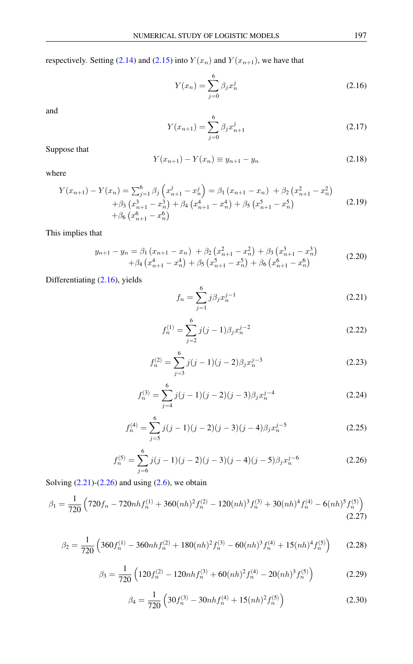respectively. Setting [\(2.14\)](#page-1-4) and [\(2.15\)](#page-1-5) into  $Y(x_n)$  and  $Y(x_{n+1})$ , we have that

<span id="page-2-0"></span>
$$
Y(x_n) = \sum_{j=0}^{6} \beta_j x_n^j
$$
 (2.16)

and

$$
Y(x_{n+1}) = \sum_{j=0}^{6} \beta_j x_{n+1}^j
$$
 (2.17)

Suppose that

$$
Y(x_{n+1}) - Y(x_n) \equiv y_{n+1} - y_n \tag{2.18}
$$

where

$$
Y(x_{n+1}) - Y(x_n) = \sum_{j=1}^6 \beta_j \left( x_{n+1}^j - x_n^j \right) = \beta_1 \left( x_{n+1} - x_n \right) + \beta_2 \left( x_{n+1}^2 - x_n^2 \right) + \beta_3 \left( x_{n+1}^3 - x_n^3 \right) + \beta_4 \left( x_{n+1}^4 - x_n^4 \right) + \beta_5 \left( x_{n+1}^5 - x_n^5 \right) + \beta_6 \left( x_{n+1}^6 - x_n^6 \right)
$$
(2.19)

This implies that

<span id="page-2-4"></span>
$$
y_{n+1} - y_n = \beta_1 (x_{n+1} - x_n) + \beta_2 (x_{n+1}^2 - x_n^2) + \beta_3 (x_{n+1}^3 - x_n^3) + \beta_4 (x_{n+1}^4 - x_n^4) + \beta_5 (x_{n+1}^5 - x_n^5) + \beta_6 (x_{n+1}^6 - x_n^6)
$$
(2.20)

Differentiating [\(2.16\)](#page-2-0), yields

<span id="page-2-1"></span>
$$
f_n = \sum_{j=1}^{6} j\beta_j x_n^{j-1}
$$
 (2.21)

$$
f_n^{(1)} = \sum_{j=2}^{6} j(j-1)\beta_j x_n^{j-2}
$$
 (2.22)

$$
f_n^{(2)} = \sum_{j=3}^{6} j(j-1)(j-2)\beta_j x_n^{j-3}
$$
 (2.23)

$$
f_n^{(3)} = \sum_{j=4}^{6} j(j-1)(j-2)(j-3)\beta_j x_n^{j-4}
$$
 (2.24)

$$
f_n^{(4)} = \sum_{j=5}^{6} j(j-1)(j-2)(j-3)(j-4)\beta_j x_n^{j-5}
$$
 (2.25)

<span id="page-2-3"></span>
$$
f_n^{(5)} = \sum_{j=6}^{6} j(j-1)(j-2)(j-3)(j-4)(j-5)\beta_j x_n^{j-6}
$$
 (2.26)

<span id="page-2-2"></span>Solving  $(2.21)$ - $(2.26)$  and using  $(2.6)$ , we obtain

$$
\beta_1 = \frac{1}{720} \left( 720 f_n - 720 n h f_n^{(1)} + 360 (n h)^2 f_n^{(2)} - 120 (n h)^3 f_n^{(3)} + 30 (n h)^4 f_n^{(4)} - 6 (n h)^5 f_n^{(5)} \right)
$$
\n(2.27)

$$
\beta_2 = \frac{1}{720} \left( 360 f_n^{(1)} - 360 n h f_n^{(2)} + 180 (n h)^2 f_n^{(3)} - 60 (n h)^3 f_n^{(4)} + 15 (n h)^4 f_n^{(5)} \right) \tag{2.28}
$$

$$
\beta_3 = \frac{1}{720} \left( 120 f_n^{(2)} - 120nh f_n^{(3)} + 60(nh)^2 f_n^{(4)} - 20(nh)^3 f_n^{(5)} \right) \tag{2.29}
$$

$$
\beta_4 = \frac{1}{720} \left( 30 f_n^{(3)} - 30 n h f_n^{(4)} + 15 (n h)^2 f_n^{(5)} \right) \tag{2.30}
$$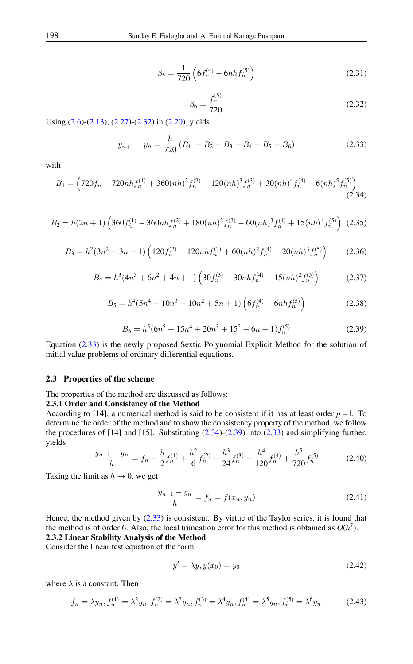$$
\beta_5 = \frac{1}{720} \left( 6f_n^{(4)} - 6nh f_n^{(5)} \right) \tag{2.31}
$$

<span id="page-3-1"></span>
$$
\beta_6 = \frac{f_n^{(5)}}{720} \tag{2.32}
$$

<span id="page-3-0"></span>Using [\(2.6\)](#page-1-6)-[\(2.13\)](#page-1-7), [\(2.27\)](#page-2-3)-[\(2.32\)](#page-3-0) in [\(2.20\)](#page-2-4), yields

$$
y_{n+1} - y_n = \frac{h}{720} (B_1 + B_2 + B_3 + B_4 + B_5 + B_6)
$$
 (2.33)

<span id="page-3-2"></span>with

$$
B_1 = \left(720f_n - 720nh f_n^{(1)} + 360(nh)^2 f_n^{(2)} - 120(nh)^3 f_n^{(3)} + 30(nh)^4 f_n^{(4)} - 6(nh)^5 f_n^{(5)}\right)
$$
\n(2.34)

$$
B_2 = h(2n+1)\left(360f_n^{(1)} - 360nhf_n^{(2)} + 180(nh)^2f_n^{(3)} - 60(nh)^3f_n^{(4)} + 15(nh)^4f_n^{(5)}\right)
$$
(2.35)

$$
B_3 = h^2(3n^2 + 3n + 1) \left( 120f_n^{(2)} - 120nh f_n^{(3)} + 60(nh)^2 f_n^{(4)} - 20(nh)^3 f_n^{(5)} \right) \tag{2.36}
$$

$$
B_4 = h^3(4n^3 + 6n^2 + 4n + 1) \left(30f_n^{(3)} - 30nhf_n^{(4)} + 15(nh)^2f_n^{(5)}\right)
$$
 (2.37)

$$
B_5 = h^4(5n^4 + 10n^3 + 10n^2 + 5n + 1)\left(6f_n^{(4)} - 6nhf_n^{(5)}\right)
$$
 (2.38)

$$
B_6 = h^5(6n^5 + 15n^4 + 20n^3 + 15^2 + 6n + 1)f_n^{(5)}
$$
\n(2.39)

<span id="page-3-3"></span>Equation [\(2.33\)](#page-3-1) is the newly proposed Sextic Polynomial Explicit Method for the solution of initial value problems of ordinary differential equations.

#### 2.3 Properties of the scheme

The properties of the method are discussed as follows:

#### 2.3.1 Order and Consistency of the Method

According to [14], a numerical method is said to be consistent if it has at least order  $p = 1$ . To determine the order of the method and to show the consistency property of the method, we follow the procedures of [14] and [15]. Substituting [\(2.34\)](#page-3-2)-[\(2.39\)](#page-3-3) into [\(2.33\)](#page-3-1) and simplifying further, yields

$$
\frac{y_{n+1} - y_n}{h} = f_n + \frac{h}{2}f_n^{(1)} + \frac{h^2}{6}f_n^{(2)} + \frac{h^3}{24}f_n^{(3)} + \frac{h^4}{120}f_n^{(4)} + \frac{h^5}{720}f_n^{(5)} \tag{2.40}
$$

Taking the limit as  $h \to 0$ , we get

$$
\frac{y_{n+1} - y_n}{h} = f_n = f(x_n, y_n)
$$
\n(2.41)

Hence, the method given by [\(2.33\)](#page-3-1) is consistent. By virtue of the Taylor series, it is found that the method is of order 6. Also, the local truncation error for this method is obtained as  $O(h^7)$ . 2.3.2 Linear Stability Analysis of the Method

Consider the linear test equation of the form

$$
y' = \lambda y, y(x_0) = y_0 \tag{2.42}
$$

where  $\lambda$  is a constant. Then

$$
f_n = \lambda y_n, f_n^{(1)} = \lambda^2 y_n, f_n^{(2)} = \lambda^3 y_n, f_n^{(3)} = \lambda^4 y_n, f_n^{(4)} = \lambda^5 y_n, f_n^{(5)} = \lambda^6 y_n
$$
 (2.43)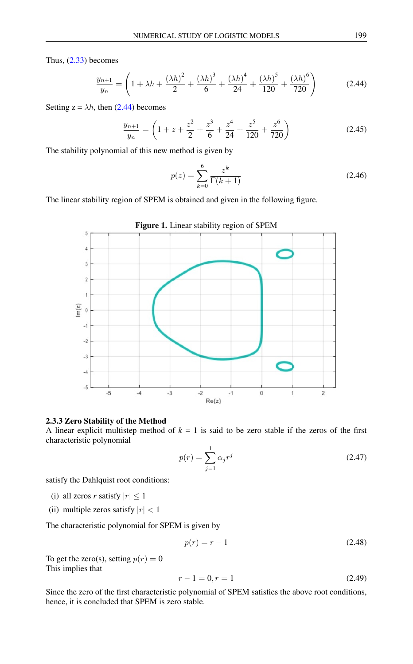Thus,  $(2.33)$  becomes

<span id="page-4-0"></span>
$$
\frac{y_{n+1}}{y_n} = \left(1 + \lambda h + \frac{(\lambda h)^2}{2} + \frac{(\lambda h)^3}{6} + \frac{(\lambda h)^4}{24} + \frac{(\lambda h)^5}{120} + \frac{(\lambda h)^6}{720}\right) \tag{2.44}
$$

Setting  $z = \lambda h$ , then [\(2.44\)](#page-4-0) becomes

$$
\frac{y_{n+1}}{y_n} = \left(1 + z + \frac{z^2}{2} + \frac{z^3}{6} + \frac{z^4}{24} + \frac{z^5}{120} + \frac{z^6}{720}\right)
$$
(2.45)

The stability polynomial of this new method is given by

$$
p(z) = \sum_{k=0}^{6} \frac{z^k}{\Gamma(k+1)}
$$
\n(2.46)

The linear stability region of SPEM is obtained and given in the following figure.



#### 2.3.3 Zero Stability of the Method

A linear explicit multistep method of  $k = 1$  is said to be zero stable if the zeros of the first characteristic polynomial

$$
p(r) = \sum_{j=1}^{1} \alpha_j r^j
$$
 (2.47)

satisfy the Dahlquist root conditions:

- (i) all zeros *r* satisfy  $|r| \leq 1$
- (ii) multiple zeros satisfy  $|r| < 1$

The characteristic polynomial for SPEM is given by

$$
p(r) = r - 1\tag{2.48}
$$

To get the zero(s), setting  $p(r) = 0$ This implies that

$$
r - 1 = 0, r = 1 \tag{2.49}
$$

Since the zero of the first characteristic polynomial of SPEM satisfies the above root conditions, hence, it is concluded that SPEM is zero stable.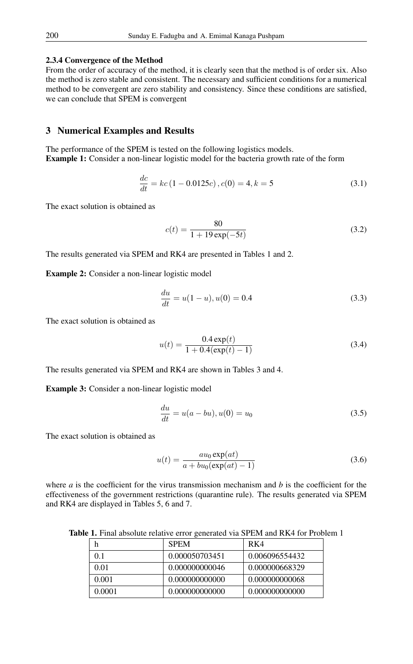#### 2.3.4 Convergence of the Method

From the order of accuracy of the method, it is clearly seen that the method is of order six. Also the method is zero stable and consistent. The necessary and sufficient conditions for a numerical method to be convergent are zero stability and consistency. Since these conditions are satisfied, we can conclude that SPEM is convergent

## 3 Numerical Examples and Results

The performance of the SPEM is tested on the following logistics models. Example 1: Consider a non-linear logistic model for the bacteria growth rate of the form

$$
\frac{dc}{dt} = kc(1 - 0.0125c), c(0) = 4, k = 5
$$
\n(3.1)

The exact solution is obtained as

$$
c(t) = \frac{80}{1 + 19 \exp(-5t)}
$$
(3.2)

The results generated via SPEM and RK4 are presented in Tables 1 and 2.

Example 2: Consider a non-linear logistic model

$$
\frac{du}{dt} = u(1-u), u(0) = 0.4
$$
\n(3.3)

The exact solution is obtained as

$$
u(t) = \frac{0.4 \exp(t)}{1 + 0.4(\exp(t) - 1)}
$$
(3.4)

The results generated via SPEM and RK4 are shown in Tables 3 and 4.

Example 3: Consider a non-linear logistic model

$$
\frac{du}{dt} = u(a - bu), u(0) = u_0 \tag{3.5}
$$

The exact solution is obtained as

$$
u(t) = \frac{au_0 \exp(at)}{a + bu_0(\exp(at) - 1)}
$$
\n(3.6)

where *a* is the coefficient for the virus transmission mechanism and *b* is the coefficient for the effectiveness of the government restrictions (quarantine rule). The results generated via SPEM and RK4 are displayed in Tables 5, 6 and 7.

Table 1. Final absolute relative error generated via SPEM and RK4 for Problem 1

|        | <b>SPEM</b>    | RK4            |
|--------|----------------|----------------|
| 01     | 0.000050703451 | 0.006096554432 |
| 0.01   | 0.000000000046 | 0.000000668329 |
| 0.001  | 0.000000000000 | 0.000000000068 |
| 0.0001 | 0.000000000000 | 0.000000000000 |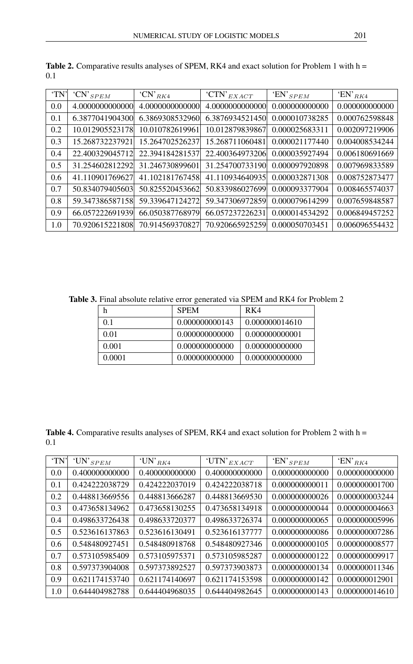| 'TN' | $"CN"$ <sub>SPEM</sub> | $\cdot$ CN' <sub>RK4</sub> | 'CTN' $_{EXACT}$ | 'EN' $_{SPEM}$ | 'EN' $_{RK4}$  |
|------|------------------------|----------------------------|------------------|----------------|----------------|
| 0.0  | 4.0000000000000        | 4.0000000000000            | 4.0000000000000  | 0.000000000000 | 0.000000000000 |
| 0.1  | 6.3877041904300        | 6.3869308532960            | 6.3876934521450  | 0.000010738285 | 0.000762598848 |
| 0.2  | 10.012905523178        | 10.010782619961            | 10.012879839867  | 0.000025683311 | 0.002097219906 |
| 0.3  | 15.268732237921        | 15.264702526237            | 15.268711060481  | 0.000021177440 | 0.004008534244 |
| 0.4  | 22.400329045712        | 22.394184281537            | 22.400364973206  | 0.000035927494 | 0.006180691669 |
| 0.5  | 31.254602812292        | 31.246730899601            | 31.254700733190  | 0.000097920898 | 0.007969833589 |
| 0.6  | 41.110901769627        | 41.102181767458            | 41.110934640935  | 0.000032871308 | 0.008752873477 |
| 0.7  | 50.834079405603        | 50.825520453662            | 50.833986027699  | 0.000093377904 | 0.008465574037 |
| 0.8  | 59.347386587158        | 59.339647124272            | 59.347306972859  | 0.000079614299 | 0.007659848587 |
| 0.9  | 66.057222691939        | 66.050387768979            | 66.057237226231  | 0.000014534292 | 0.006849457252 |
| 1.0  | 70.920615221808        | 70.914569370827            | 70.920665925259  | 0.000050703451 | 0.006096554432 |

Table 2. Comparative results analyses of SPEM, RK4 and exact solution for Problem 1 with h = 0.1

Table 3. Final absolute relative error generated via SPEM and RK4 for Problem 2

| h      | <b>SPEM</b>    | RK4            |
|--------|----------------|----------------|
| 01     | 0.000000000143 | 0.000000014610 |
| 0.01   | 0.000000000000 | 0.000000000001 |
| 0.001  | 0.000000000000 | 0.000000000000 |
| 0.0001 | 0.000000000000 | 0.000000000000 |

Table 4. Comparative results analyses of SPEM, RK4 and exact solution for Problem 2 with h = 0.1

| 'TN' | 'UN' $_{SPEM}$ | 'UN' $_{RK4}$  | 'UTN' $_{EXACT}$ | 'EN' $_{SPEM}$ | 'EN' $_{RK4}$  |
|------|----------------|----------------|------------------|----------------|----------------|
| 0.0  | 0.400000000000 | 0.400000000000 | 0.400000000000   | 0.000000000000 | 0.000000000000 |
| 0.1  | 0.424222038729 | 0.424222037019 | 0.424222038718   | 0.000000000011 | 0.000000001700 |
| 0.2  | 0.448813669556 | 0.448813666287 | 0.448813669530   | 0.000000000026 | 0.000000003244 |
| 0.3  | 0.473658134962 | 0.473658130255 | 0.473658134918   | 0.000000000044 | 0.000000004663 |
| 0.4  | 0.498633726438 | 0.498633720377 | 0.498633726374   | 0.000000000065 | 0.000000005996 |
| 0.5  | 0.523616137863 | 0.523616130491 | 0.523616137777   | 0.000000000086 | 0.000000007286 |
| 0.6  | 0.548480927451 | 0.548480918768 | 0.548480927346   | 0.000000000105 | 0.000000008577 |
| 0.7  | 0.573105985409 | 0.573105975371 | 0.573105985287   | 0.000000000122 | 0.000000009917 |
| 0.8  | 0.597373904008 | 0.597373892527 | 0.597373903873   | 0.000000000134 | 0.000000011346 |
| 0.9  | 0.621174153740 | 0.621174140697 | 0.621174153598   | 0.000000000142 | 0.000000012901 |
| 1.0  | 0.644404982788 | 0.644404968035 | 0.644404982645   | 0.000000000143 | 0.000000014610 |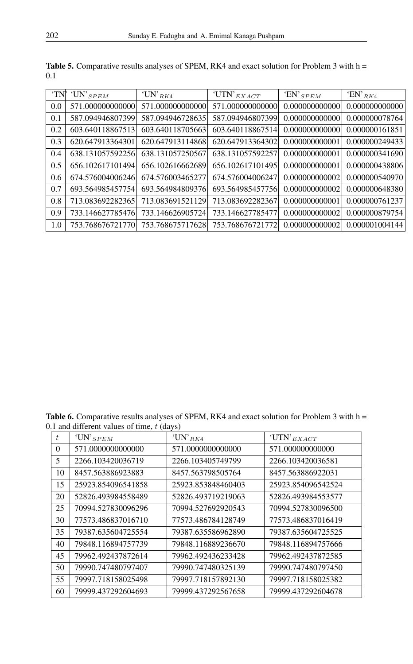| 'TN' | 'UN' $_{SPEM}$   | 'UN' $_{RK4}$    | 'UTN' $_{EXACT}$ | 'EN' $_{SPEM}$ | 'EN' $_{RK4}$  |
|------|------------------|------------------|------------------|----------------|----------------|
| 0.0  | 571.000000000000 | 571.000000000000 | 571.000000000000 | 0.000000000000 | 0.000000000000 |
| 0.1  | 587.094946807399 | 587.094946728635 | 587.094946807399 | 0.000000000000 | 0.000000078764 |
| 0.2  | 603.640118867513 | 603.640118705663 | 603.640118867514 | 0.000000000000 | 0.000000161851 |
| 0.3  | 620.647913364301 | 620.647913114868 | 620.647913364302 | 0.000000000001 | 0.000000249433 |
| 0.4  | 638.131057592256 | 638.131057250567 | 638.131057592257 | 0.000000000001 | 0.000000341690 |
| 0.5  | 656.102617101494 | 656.102616662689 | 656.102617101495 | 0.000000000001 | 0.000000438806 |
| 0.6  | 674.576004006246 | 674.576003465277 | 674.576004006247 | 0.000000000002 | 0.000000540970 |
| 0.7  | 693.564985457754 | 693.564984809376 | 693.564985457756 | 0.000000000002 | 0.000000648380 |
| 0.8  | 713.083692282365 | 713.083691521129 | 713.083692282367 | 0.000000000001 | 0.000000761237 |
| 0.9  | 733.146627785476 | 733.146626905724 | 733.146627785477 | 0.000000000002 | 0.000000879754 |
| 1.0  | 753.768676721770 | 753.768675717628 | 753.768676721772 | 0.000000000002 | 0.000001004144 |

Table 5. Comparative results analyses of SPEM, RK4 and exact solution for Problem 3 with h = 0.1

Table 6. Comparative results analyses of SPEM, RK4 and exact solution for Problem 3 with h = 0.1 and different values of time,  $t$  (days)

| t               | 'UN' $_{SPEM}$     | 'UN' $_{RK4}$      | 'UTN' $_{EXACT}$   |
|-----------------|--------------------|--------------------|--------------------|
| $\Omega$        | 571.0000000000000  | 571.0000000000000  | 571.000000000000   |
| $5\overline{)}$ | 2266.103420036719  | 2266.103405749799  | 2266.103420036581  |
| 10              | 8457.563886923883  | 8457.563798505764  | 8457.563886922031  |
| 15              | 25923.854096541858 | 25923.853848460403 | 25923.854096542524 |
| 20              | 52826.493984558489 | 52826.493719219063 | 52826.493984553577 |
| 25              | 70994.527830096296 | 70994.527692920543 | 70994.527830096500 |
| 30              | 77573.486837016710 | 77573.486784128749 | 77573.486837016419 |
| 35              | 79387.635604725554 | 79387.635586962890 | 79387.635604725525 |
| 40              | 79848.116894757739 | 79848.116889236670 | 79848.116894757666 |
| 45              | 79962.492437872614 | 79962.492436233428 | 79962.492437872585 |
| 50              | 79990.747480797407 | 79990.747480325139 | 79990.747480797450 |
| 55              | 79997.718158025498 | 79997.718157892130 | 79997.718158025382 |
| 60              | 79999.437292604693 | 79999.437292567658 | 79999.437292604678 |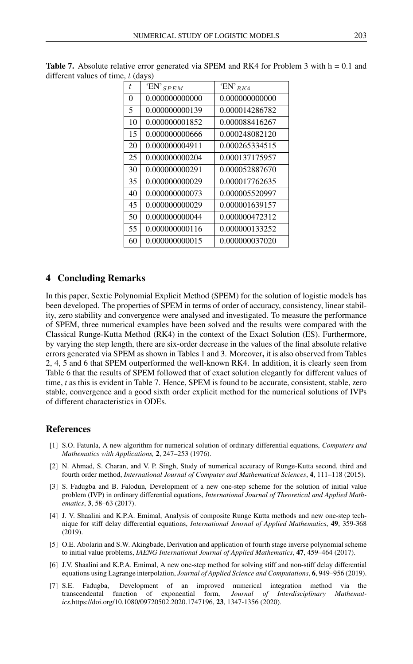| t  | 'EN' $_{SPEM}$ | 'EN' $_{RK4}$  |  |  |  |
|----|----------------|----------------|--|--|--|
| 0  | 0.000000000000 | 0.000000000000 |  |  |  |
| 5  | 0.000000000139 | 0.000014286782 |  |  |  |
| 10 | 0.000000001852 | 0.000088416267 |  |  |  |
| 15 | 0.000000000666 | 0.000248082120 |  |  |  |
| 20 | 0.000000004911 | 0.000265334515 |  |  |  |
| 25 | 0.000000000204 | 0.000137175957 |  |  |  |
| 30 | 0.000000000291 | 0.000052887670 |  |  |  |
| 35 | 0.000000000029 | 0.000017762635 |  |  |  |
| 40 | 0.000000000073 | 0.000005520997 |  |  |  |
| 45 | 0.000000000029 | 0.000001639157 |  |  |  |
| 50 | 0.000000000044 | 0.000000472312 |  |  |  |
| 55 | 0.000000000116 | 0.000000133252 |  |  |  |
| 60 | 0.000000000015 | 0.000000037020 |  |  |  |

Table 7. Absolute relative error generated via SPEM and RK4 for Problem 3 with h = 0.1 and different values of time,  $t$  (days)

### 4 Concluding Remarks

In this paper, Sextic Polynomial Explicit Method (SPEM) for the solution of logistic models has been developed. The properties of SPEM in terms of order of accuracy, consistency, linear stability, zero stability and convergence were analysed and investigated. To measure the performance of SPEM, three numerical examples have been solved and the results were compared with the Classical Runge-Kutta Method (RK4) in the context of the Exact Solution (ES). Furthermore, by varying the step length, there are six-order decrease in the values of the final absolute relative errors generated via SPEM as shown in Tables 1 and 3. Moreover, it is also observed from Tables 2, 4, 5 and 6 that SPEM outperformed the well-known RK4. In addition, it is clearly seen from Table 6 that the results of SPEM followed that of exact solution elegantly for different values of time, *t* as this is evident in Table 7. Hence, SPEM is found to be accurate, consistent, stable, zero stable, convergence and a good sixth order explicit method for the numerical solutions of IVPs of different characteristics in ODEs.

## <span id="page-8-0"></span>References

- [1] S.O. Fatunla, A new algorithm for numerical solution of ordinary differential equations, *Computers and Mathematics with Applications,* 2, 247–253 (1976).
- [2] N. Ahmad, S. Charan, and V. P. Singh, Study of numerical accuracy of Runge-Kutta second, third and fourth order method, *International Journal of Computer and Mathematical Sciences*, 4, 111–118 (2015).
- [3] S. Fadugba and B. Falodun, Development of a new one-step scheme for the solution of initial value problem (IVP) in ordinary differential equations, *International Journal of Theoretical and Applied Mathematics*, 3, 58–63 (2017).
- [4] J. V. Shaalini and K.P.A. Emimal, Analysis of composite Runge Kutta methods and new one-step technique for stiff delay differential equations, *International Journal of Applied Mathematics*, 49, 359-368 (2019).
- [5] O.E. Abolarin and S.W. Akingbade, Derivation and application of fourth stage inverse polynomial scheme to initial value problems, *IAENG International Journal of Applied Mathematics*, 47, 459–464 (2017).
- [6] J.V. Shaalini and K.P.A. Emimal, A new one-step method for solving stiff and non-stiff delay differential equations using Lagrange interpolation, *Journal of Applied Science and Computations*, 6, 949–956 (2019).
- [7] S.E. Fadugba, Development of an improved numerical integration method via the transcendental function of exponential form, *Journal of Interdisciplinary Mathematics*,https://doi.org/10.1080/09720502.2020.1747196, 23, 1347-1356 (2020).